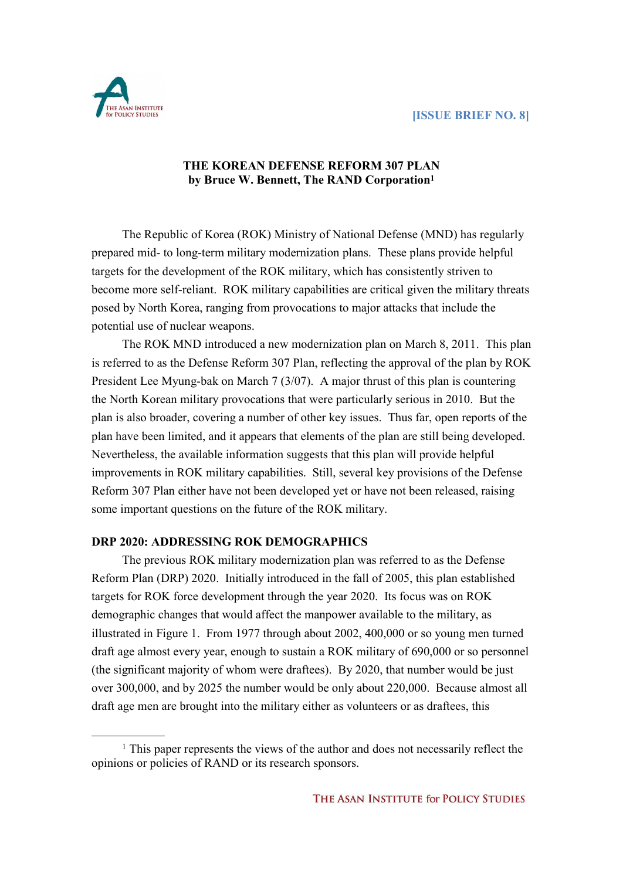

 $\overline{a}$ 

## **THE KOREAN DEFENSE REFORM 307 PLAN by Bruce W. Bennett, The RAND Corporation<sup>1</sup>**

The Republic of Korea (ROK) Ministry of National Defense (MND) has regularly prepared mid- to long-term military modernization plans. These plans provide helpful targets for the development of the ROK military, which has consistently striven to become more self-reliant. ROK military capabilities are critical given the military threats posed by North Korea, ranging from provocations to major attacks that include the potential use of nuclear weapons.

The ROK MND introduced a new modernization plan on March 8, 2011. This plan is referred to as the Defense Reform 307 Plan, reflecting the approval of the plan by ROK President Lee Myung-bak on March 7 (3/07). A major thrust of this plan is countering the North Korean military provocations that were particularly serious in 2010. But the plan is also broader, covering a number of other key issues. Thus far, open reports of the plan have been limited, and it appears that elements of the plan are still being developed. Nevertheless, the available information suggests that this plan will provide helpful improvements in ROK military capabilities. Still, several key provisions of the Defense Reform 307 Plan either have not been developed yet or have not been released, raising some important questions on the future of the ROK military.

#### **DRP 2020: ADDRESSING ROK DEMOGRAPHICS**

The previous ROK military modernization plan was referred to as the Defense Reform Plan (DRP) 2020. Initially introduced in the fall of 2005, this plan established targets for ROK force development through the year 2020. Its focus was on ROK demographic changes that would affect the manpower available to the military, as illustrated in Figure 1. From 1977 through about 2002, 400,000 or so young men turned draft age almost every year, enough to sustain a ROK military of 690,000 or so personnel (the significant majority of whom were draftees). By 2020, that number would be just over 300,000, and by 2025 the number would be only about 220,000. Because almost all draft age men are brought into the military either as volunteers or as draftees, this

<sup>1</sup> This paper represents the views of the author and does not necessarily reflect the opinions or policies of RAND or its research sponsors.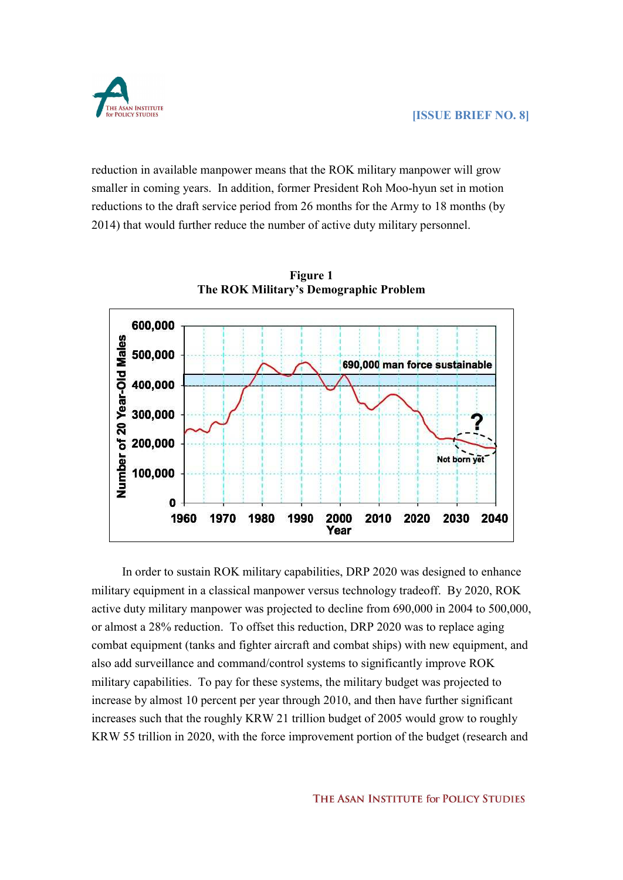reduction in available manpower means that the ROK military manpower will grow smaller in coming years. In addition, former President Roh Moo-hyun set in motion reductions to the draft service period from 26 months for the Army to 18 months (by 2014) that would further reduce the number of active duty military personnel.



**Figure 1 The ROK Military's Demographic Problem**

In order to sustain ROK military capabilities, DRP 2020 was designed to enhance military equipment in a classical manpower versus technology tradeoff. By 2020, ROK active duty military manpower was projected to decline from 690,000 in 2004 to 500,000, or almost a 28% reduction. To offset this reduction, DRP 2020 was to replace aging combat equipment (tanks and fighter aircraft and combat ships) with new equipment, and also add surveillance and command/control systems to significantly improve ROK military capabilities. To pay for these systems, the military budget was projected to increase by almost 10 percent per year through 2010, and then have further significant increases such that the roughly KRW 21 trillion budget of 2005 would grow to roughly KRW 55 trillion in 2020, with the force improvement portion of the budget (research and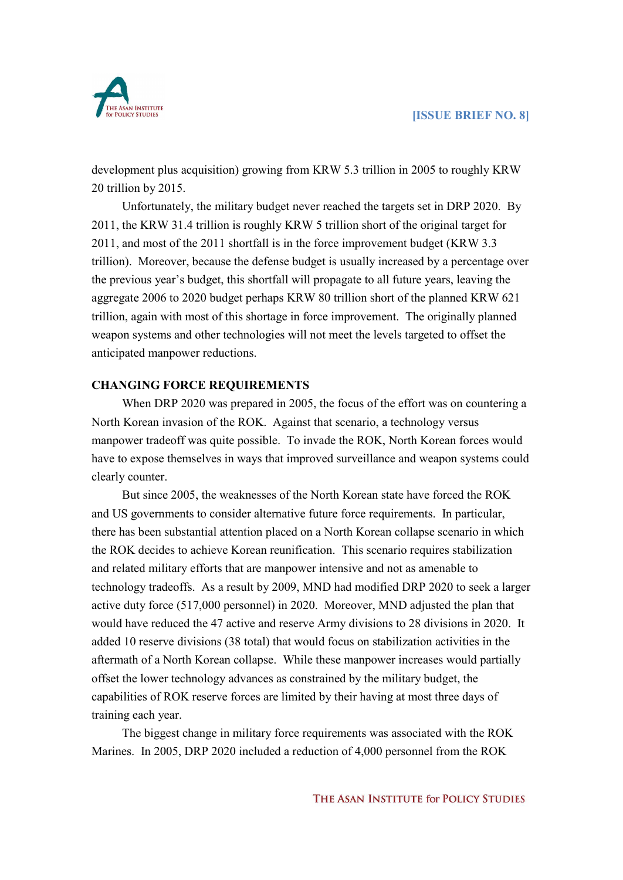

development plus acquisition) growing from KRW 5.3 trillion in 2005 to roughly KRW 20 trillion by 2015.

Unfortunately, the military budget never reached the targets set in DRP 2020. By 2011, the KRW 31.4 trillion is roughly KRW 5 trillion short of the original target for 2011, and most of the 2011 shortfall is in the force improvement budget (KRW 3.3 trillion). Moreover, because the defense budget is usually increased by a percentage over the previous year's budget, this shortfall will propagate to all future years, leaving the aggregate 2006 to 2020 budget perhaps KRW 80 trillion short of the planned KRW 621 trillion, again with most of this shortage in force improvement. The originally planned weapon systems and other technologies will not meet the levels targeted to offset the anticipated manpower reductions.

#### **CHANGING FORCE REQUIREMENTS**

When DRP 2020 was prepared in 2005, the focus of the effort was on countering a North Korean invasion of the ROK. Against that scenario, a technology versus manpower tradeoff was quite possible. To invade the ROK, North Korean forces would have to expose themselves in ways that improved surveillance and weapon systems could clearly counter.

But since 2005, the weaknesses of the North Korean state have forced the ROK and US governments to consider alternative future force requirements. In particular, there has been substantial attention placed on a North Korean collapse scenario in which the ROK decides to achieve Korean reunification. This scenario requires stabilization and related military efforts that are manpower intensive and not as amenable to technology tradeoffs. As a result by 2009, MND had modified DRP 2020 to seek a larger active duty force (517,000 personnel) in 2020. Moreover, MND adjusted the plan that would have reduced the 47 active and reserve Army divisions to 28 divisions in 2020. It added 10 reserve divisions (38 total) that would focus on stabilization activities in the aftermath of a North Korean collapse. While these manpower increases would partially offset the lower technology advances as constrained by the military budget, the capabilities of ROK reserve forces are limited by their having at most three days of training each year.

The biggest change in military force requirements was associated with the ROK Marines. In 2005, DRP 2020 included a reduction of 4,000 personnel from the ROK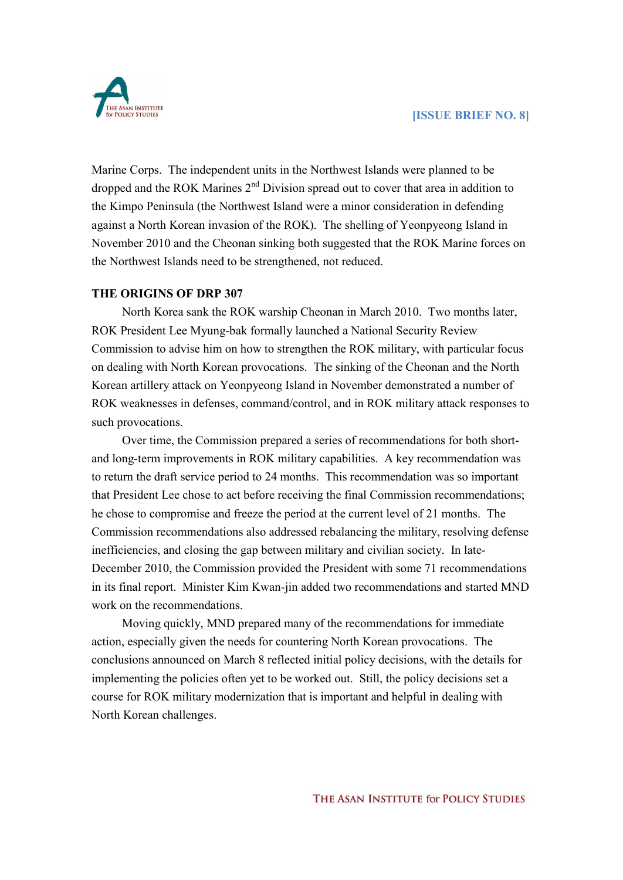

Marine Corps. The independent units in the Northwest Islands were planned to be dropped and the ROK Marines 2<sup>nd</sup> Division spread out to cover that area in addition to the Kimpo Peninsula (the Northwest Island were a minor consideration in defending against a North Korean invasion of the ROK). The shelling of Yeonpyeong Island in November 2010 and the Cheonan sinking both suggested that the ROK Marine forces on the Northwest Islands need to be strengthened, not reduced.

#### **THE ORIGINS OF DRP 307**

North Korea sank the ROK warship Cheonan in March 2010. Two months later, ROK President Lee Myung-bak formally launched a National Security Review Commission to advise him on how to strengthen the ROK military, with particular focus on dealing with North Korean provocations. The sinking of the Cheonan and the North Korean artillery attack on Yeonpyeong Island in November demonstrated a number of ROK weaknesses in defenses, command/control, and in ROK military attack responses to such provocations.

Over time, the Commission prepared a series of recommendations for both short and long-term improvements in ROK military capabilities. A key recommendation was to return the draft service period to 24 months. This recommendation was so important that President Lee chose to act before receiving the final Commission recommendations; he chose to compromise and freeze the period at the current level of 21 months. The Commission recommendations also addressed rebalancing the military, resolving defense inefficiencies, and closing the gap between military and civilian society. In late- December 2010, the Commission provided the President with some 71 recommendations in its final report. Minister Kim Kwan-jin added two recommendations and started MND work on the recommendations.

Moving quickly, MND prepared many of the recommendations for immediate action, especially given the needs for countering North Korean provocations. The conclusions announced on March 8 reflected initial policy decisions, with the details for implementing the policies often yet to be worked out. Still, the policy decisions set a course for ROK military modernization that is important and helpful in dealing with North Korean challenges.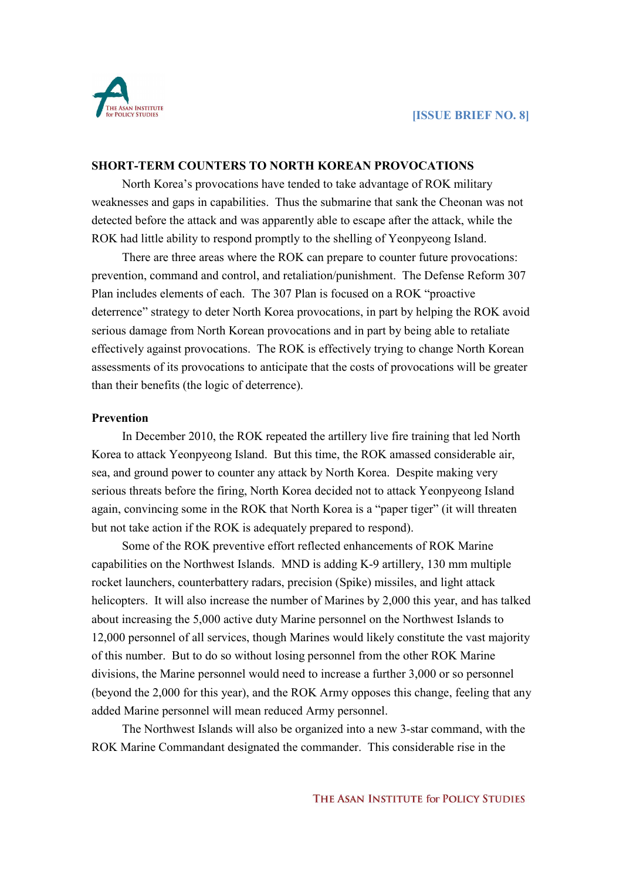

#### **SHORT-TERM COUNTERS TO NORTH KOREAN PROVOCATIONS**

North Korea's provocations have tended to take advantage of ROK military weaknesses and gaps in capabilities. Thus the submarine that sank the Cheonan was not detected before the attack and was apparently able to escape after the attack, while the ROK had little ability to respond promptly to the shelling of Yeonpyeong Island.

There are three areas where the ROK can prepare to counter future provocations: prevention, command and control, and retaliation/punishment. The Defense Reform 307 Plan includes elements of each. The 307 Plan is focused on a ROK "proactive deterrence" strategy to deter North Korea provocations, in part by helping the ROK avoid serious damage from North Korean provocations and in part by being able to retaliate effectively against provocations. The ROK is effectively trying to change North Korean assessments of its provocations to anticipate that the costs of provocations will be greater than their benefits (the logic of deterrence).

#### **Prevention**

In December 2010, the ROK repeated the artillery live fire training that led North Korea to attack Yeonpyeong Island. But this time, the ROK amassed considerable air, sea, and ground power to counter any attack by North Korea. Despite making very serious threats before the firing, North Korea decided not to attack Yeonpyeong Island again, convincing some in the ROK that North Korea is a "paper tiger" (it will threaten but not take action if the ROK is adequately prepared to respond).

Some of the ROK preventive effort reflected enhancements of ROK Marine capabilities on the Northwest Islands. MND is adding K-9 artillery, 130 mm multiple rocket launchers, counterbattery radars, precision (Spike) missiles, and light attack helicopters. It will also increase the number of Marines by 2,000 this year, and has talked about increasing the 5,000 active duty Marine personnel on the Northwest Islands to 12,000 personnel of all services, though Marines would likely constitute the vast majority of this number. But to do so without losing personnel from the other ROK Marine divisions, the Marine personnel would need to increase a further 3,000 or so personnel (beyond the 2,000 for this year), and the ROK Army opposes this change, feeling that any added Marine personnel will mean reduced Army personnel.

The Northwest Islands will also be organized into a new 3-star command, with the ROK Marine Commandant designated the commander. This considerable rise in the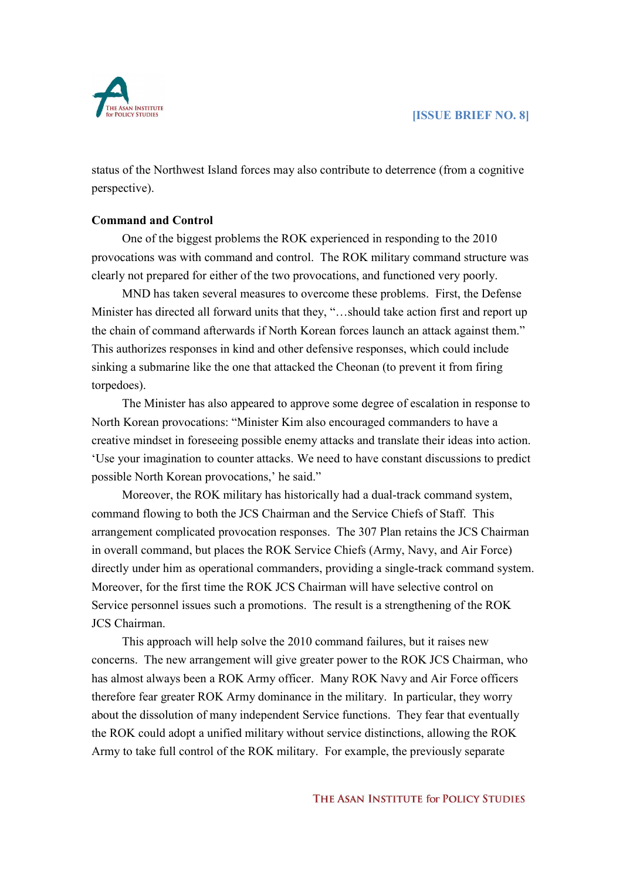

status of the Northwest Island forces may also contribute to deterrence (from a cognitive perspective).

## **Command and Control**

One of the biggest problems the ROK experienced in responding to the 2010 provocations was with command and control. The ROK military command structure was clearly not prepared for either of the two provocations, and functioned very poorly.

MND has taken several measures to overcome these problems. First, the Defense Minister has directed all forward units that they, "…should take action first and report up the chain of command afterwards if North Korean forces launch an attack against them." This authorizes responses in kind and other defensive responses, which could include sinking a submarine like the one that attacked the Cheonan (to prevent it from firing torpedoes).

The Minister has also appeared to approve some degree of escalation in response to North Korean provocations: "Minister Kim also encouraged commanders to have a creative mindset in foreseeing possible enemy attacks and translate their ideas into action. 'Use your imagination to counter attacks. We need to have constant discussions to predict possible North Korean provocations,' he said."

Moreover, the ROK military has historically had a dual-track command system, command flowing to both the JCS Chairman and the Service Chiefs of Staff. This arrangement complicated provocation responses. The 307 Plan retains the JCS Chairman in overall command, but places the ROK Service Chiefs (Army, Navy, and Air Force) directly under him as operational commanders, providing a single-track command system. Moreover, for the first time the ROK JCS Chairman will have selective control on Service personnel issues such a promotions. The result is a strengthening of the ROK JCS Chairman.

This approach will help solve the 2010 command failures, but it raises new concerns. The new arrangement will give greater power to the ROK JCS Chairman, who has almost always been a ROK Army officer. Many ROK Navy and Air Force officers therefore fear greater ROK Army dominance in the military. In particular, they worry about the dissolution of many independent Service functions. They fear that eventually the ROK could adopt a unified military without service distinctions, allowing the ROK Army to take full control of the ROK military. For example, the previously separate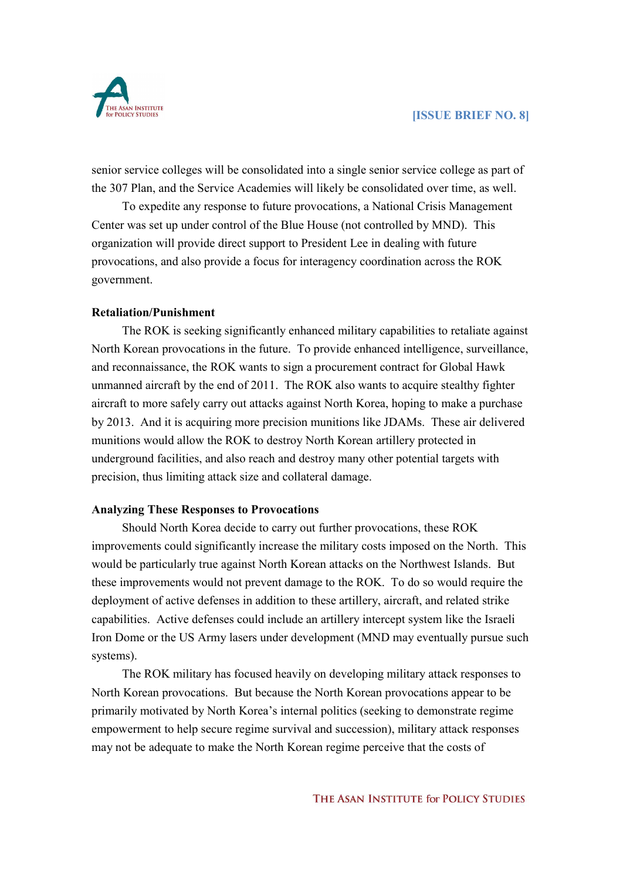

senior service colleges will be consolidated into a single senior service college as part of the 307 Plan, and the Service Academies will likely be consolidated over time, as well.

To expedite any response to future provocations, a National Crisis Management Center was set up under control of the Blue House (not controlled by MND). This organization will provide direct support to President Lee in dealing with future provocations, and also provide a focus for interagency coordination across the ROK government.

#### **Retaliation/Punishment**

The ROK is seeking significantly enhanced military capabilities to retaliate against North Korean provocations in the future. To provide enhanced intelligence, surveillance, and reconnaissance, the ROK wants to sign a procurement contract for Global Hawk unmanned aircraft by the end of 2011. The ROK also wants to acquire stealthy fighter aircraft to more safely carry out attacks against North Korea, hoping to make a purchase by 2013. And it is acquiring more precision munitions like JDAMs. These air delivered munitions would allow the ROK to destroy North Korean artillery protected in underground facilities, and also reach and destroy many other potential targets with precision, thus limiting attack size and collateral damage.

#### **Analyzing These Responses to Provocations**

Should North Korea decide to carry out further provocations, these ROK improvements could significantly increase the military costs imposed on the North. This would be particularly true against North Korean attacks on the Northwest Islands. But these improvements would not prevent damage to the ROK. To do so would require the deployment of active defenses in addition to these artillery, aircraft, and related strike capabilities. Active defenses could include an artillery intercept system like the Israeli Iron Dome or the US Army lasers under development (MND may eventually pursue such systems).

The ROK military has focused heavily on developing military attack responses to North Korean provocations. But because the North Korean provocations appear to be primarily motivated by North Korea's internal politics (seeking to demonstrate regime empowerment to help secure regime survival and succession), military attack responses may not be adequate to make the North Korean regime perceive that the costs of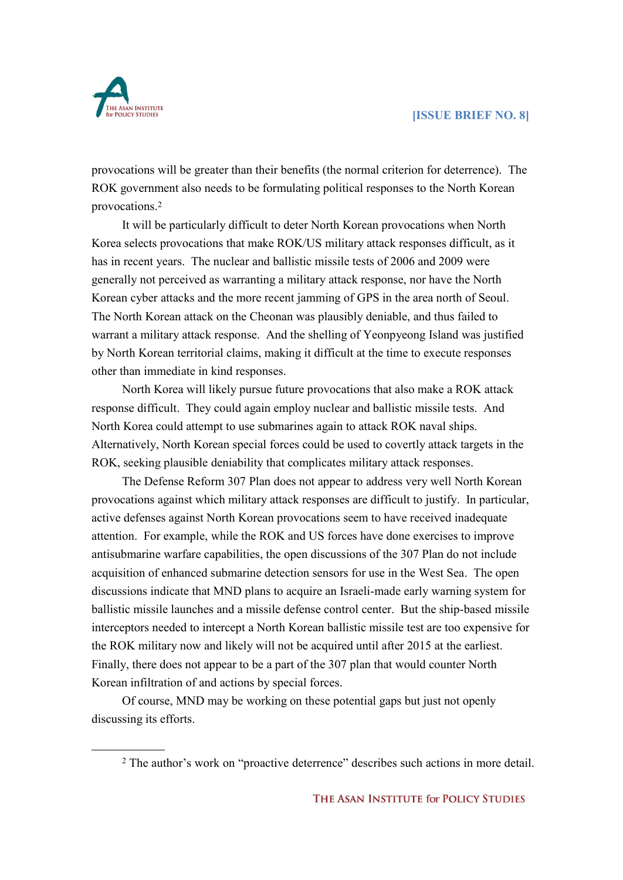

 $\overline{a}$ 

provocations will be greater than their benefits (the normal criterion for deterrence). The ROK government also needs to be formulating political responses to the North Korean provocations.<sup>2</sup>

It will be particularly difficult to deter North Korean provocations when North Korea selects provocations that make ROK/US military attack responses difficult, as it has in recent years. The nuclear and ballistic missile tests of 2006 and 2009 were generally not perceived as warranting a military attack response, nor have the North Korean cyber attacks and the more recent jamming of GPS in the area north of Seoul. The North Korean attack on the Cheonan was plausibly deniable, and thus failed to warrant a military attack response. And the shelling of Yeonpyeong Island was justified by North Korean territorial claims, making it difficult at the time to execute responses other than immediate in kind responses.

North Korea will likely pursue future provocations that also make a ROK attack response difficult. They could again employ nuclear and ballistic missile tests. And North Korea could attempt to use submarines again to attack ROK naval ships. Alternatively, North Korean special forces could be used to covertly attack targets in the ROK, seeking plausible deniability that complicates military attack responses.

The Defense Reform 307 Plan does not appear to address very well North Korean provocations against which military attack responses are difficult to justify. In particular, active defenses against North Korean provocations seem to have received inadequate attention. For example, while the ROK and US forces have done exercises to improve antisubmarine warfare capabilities, the open discussions of the 307 Plan do not include acquisition of enhanced submarine detection sensors for use in the West Sea. The open discussions indicate that MND plans to acquire an Israeli-made early warning system for ballistic missile launches and a missile defense control center. But the ship-based missile interceptors needed to intercept a North Korean ballistic missile test are too expensive for the ROK military now and likely will not be acquired until after 2015 at the earliest. Finally, there does not appear to be a part of the 307 plan that would counter North Korean infiltration of and actions by special forces.

Of course, MND may be working on these potential gaps but just not openly discussing its efforts.

<sup>2</sup> The author's work on "proactive deterrence" describes such actions in more detail.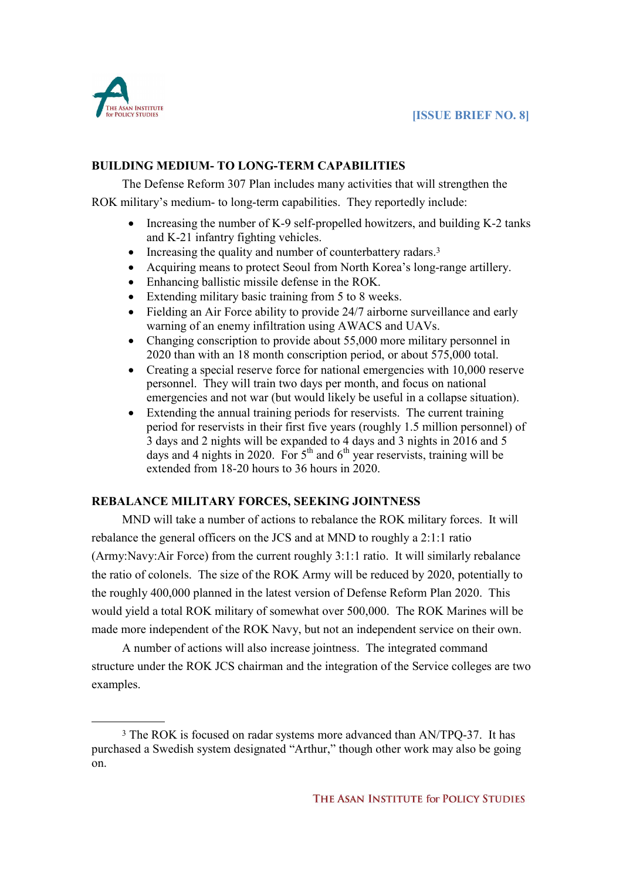

# **BUILDING MEDIUM- TO LONG-TERM CAPABILITIES**

The Defense Reform 307 Plan includes many activities that will strengthen the ROK military's medium- to long-term capabilities. They reportedly include:

- Increasing the number of K-9 self-propelled howitzers, and building K-2 tanks and K-21 infantry fighting vehicles.
- Increasing the quality and number of counterbattery radars.<sup>3</sup>
- · Acquiring means to protect Seoul from North Korea's long-range artillery.
- Enhancing ballistic missile defense in the ROK.
- Extending military basic training from 5 to 8 weeks.
- Fielding an Air Force ability to provide 24/7 airborne surveillance and early warning of an enemy infiltration using AWACS and UAVs.
- Changing conscription to provide about 55,000 more military personnel in 2020 than with an 18 month conscription period, or about 575,000 total.
- Creating a special reserve force for national emergencies with 10,000 reserve personnel. They will train two days per month, and focus on national emergencies and not war (but would likely be useful in a collapse situation).
- Extending the annual training periods for reservists. The current training period for reservists in their first five years (roughly 1.5 million personnel) of 3 days and 2 nights will be expanded to 4 days and 3 nights in 2016 and 5 days and 4 nights in 2020. For  $5<sup>th</sup>$  and  $6<sup>th</sup>$  year reservists, training will be extended from 18-20 hours to 36 hours in 2020.

# **REBALANCE MILITARY FORCES, SEEKING JOINTNESS**

MND will take a number of actions to rebalance the ROK military forces. It will rebalance the general officers on the JCS and at MND to roughly a 2:1:1 ratio (Army:Navy:Air Force) from the current roughly 3:1:1 ratio. It will similarly rebalance the ratio of colonels. The size of the ROK Army will be reduced by 2020, potentially to the roughly 400,000 planned in the latest version of Defense Reform Plan 2020. This would yield a total ROK military of somewhat over 500,000. The ROK Marines will be made more independent of the ROK Navy, but not an independent service on their own.

A number of actions will also increase jointness. The integrated command structure under the ROK JCS chairman and the integration of the Service colleges are two examples.

 $\overline{a}$ <sup>3</sup> The ROK is focused on radar systems more advanced than AN/TPQ-37. It has purchased a Swedish system designated "Arthur," though other work may also be going on.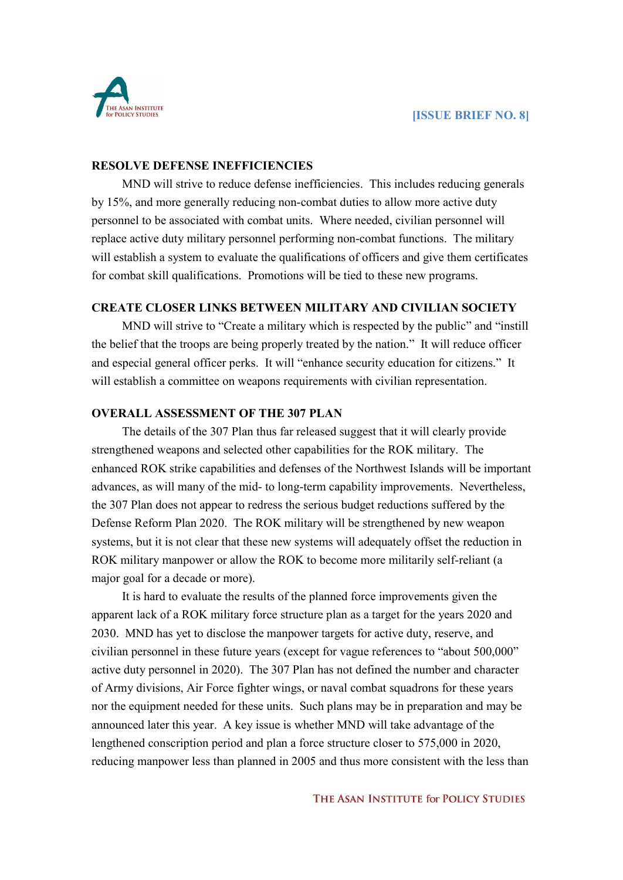

#### **RESOLVE DEFENSE INEFFICIENCIES**

MND will strive to reduce defense inefficiencies. This includes reducing generals by 15%, and more generally reducing non-combat duties to allow more active duty personnel to be associated with combat units. Where needed, civilian personnel will replace active duty military personnel performing non-combat functions. The military will establish a system to evaluate the qualifications of officers and give them certificates for combat skill qualifications. Promotions will be tied to these new programs.

# **CREATE CLOSER LINKS BETWEEN MILITARY AND CIVILIAN SOCIETY**

MND will strive to "Create a military which is respected by the public" and "instill the belief that the troops are being properly treated by the nation." It will reduce officer and especial general officer perks. It will "enhance security education for citizens." It will establish a committee on weapons requirements with civilian representation.

#### **OVERALL ASSESSMENT OF THE 307 PLAN**

The details of the 307 Plan thus far released suggest that it will clearly provide strengthened weapons and selected other capabilities for the ROK military. The enhanced ROK strike capabilities and defenses of the Northwest Islands will be important advances, as will many of the mid- to long-term capability improvements. Nevertheless, the 307 Plan does not appear to redress the serious budget reductions suffered by the Defense Reform Plan 2020. The ROK military will be strengthened by new weapon systems, but it is not clear that these new systems will adequately offset the reduction in ROK military manpower or allow the ROK to become more militarily self-reliant (a major goal for a decade or more).

It is hard to evaluate the results of the planned force improvements given the apparent lack of a ROK military force structure plan as a target for the years 2020 and 2030. MND has yet to disclose the manpower targets for active duty, reserve, and civilian personnel in these future years (except for vague references to "about 500,000" active duty personnel in 2020). The 307 Plan has not defined the number and character of Army divisions, Air Force fighter wings, or naval combat squadrons for these years nor the equipment needed for these units. Such plans may be in preparation and may be announced later this year. A key issue is whether MND will take advantage of the lengthened conscription period and plan a force structure closer to 575,000 in 2020, reducing manpower less than planned in 2005 and thus more consistent with the less than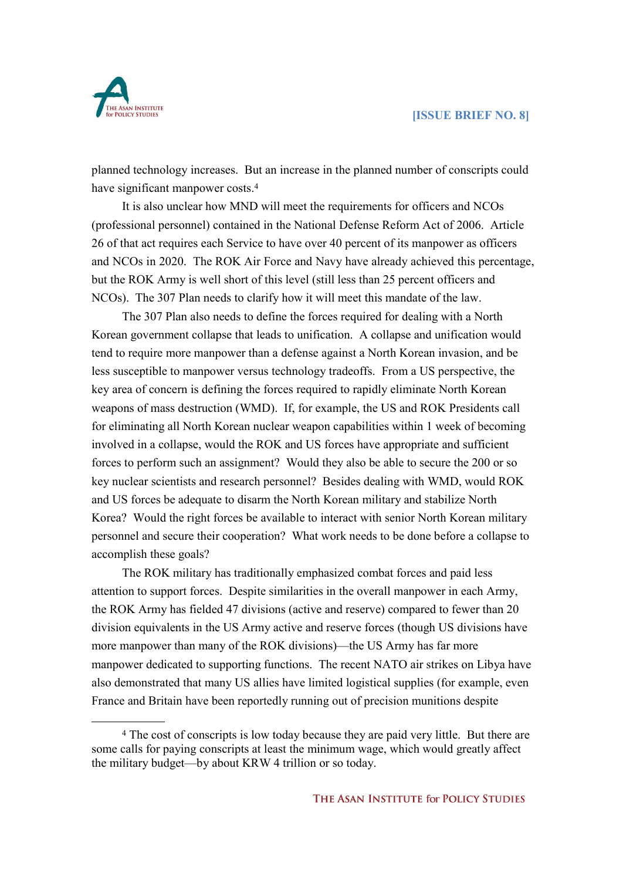

planned technology increases. But an increase in the planned number of conscripts could have significant manpower costs.<sup>4</sup>

It is also unclear how MND will meet the requirements for officers and NCOs (professional personnel) contained in the National Defense Reform Act of 2006. Article 26 of that act requires each Service to have over 40 percent of its manpower as officers and NCOs in 2020. The ROK Air Force and Navy have already achieved this percentage, but the ROK Army is well short of this level (still less than 25 percent officers and NCOs). The 307 Plan needs to clarify how it will meet this mandate of the law.

The 307 Plan also needs to define the forces required for dealing with a North Korean government collapse that leads to unification. A collapse and unification would tend to require more manpower than a defense against a North Korean invasion, and be less susceptible to manpower versus technology tradeoffs. From a US perspective, the key area of concern is defining the forces required to rapidly eliminate North Korean weapons of mass destruction (WMD). If, for example, the US and ROK Presidents call for eliminating all North Korean nuclear weapon capabilities within 1 week of becoming involved in a collapse, would the ROK and US forces have appropriate and sufficient forces to perform such an assignment? Would they also be able to secure the 200 or so key nuclear scientists and research personnel? Besides dealing with WMD, would ROK and US forces be adequate to disarm the North Korean military and stabilize North Korea? Would the right forces be available to interact with senior North Korean military personnel and secure their cooperation? What work needs to be done before a collapse to accomplish these goals?

The ROK military has traditionally emphasized combat forces and paid less attention to support forces. Despite similarities in the overall manpower in each Army, the ROK Army has fielded 47 divisions (active and reserve) compared to fewer than 20 division equivalents in the US Army active and reserve forces (though US divisions have more manpower than many of the ROK divisions)—the US Army has far more manpower dedicated to supporting functions. The recent NATO air strikes on Libya have also demonstrated that many US allies have limited logistical supplies (for example, even France and Britain have been reportedly running out of precision munitions despite

 $\overline{a}$ <sup>4</sup> The cost of conscripts is low today because they are paid very little. But there are some calls for paying conscripts at least the minimum wage, which would greatly affect the military budget—by about KRW 4 trillion or so today.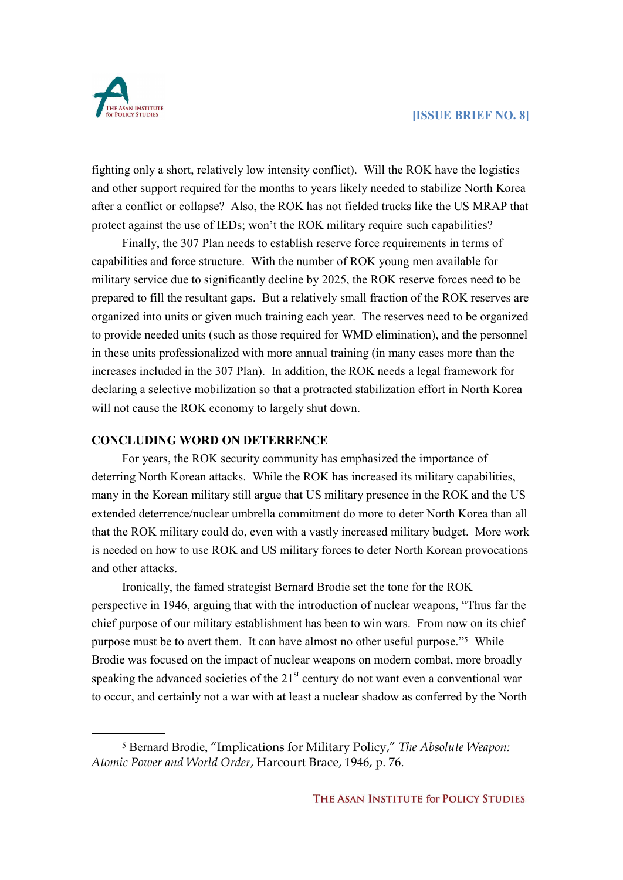

 $\overline{a}$ 

fighting only a short, relatively low intensity conflict). Will the ROK have the logistics and other support required for the months to years likely needed to stabilize North Korea after a conflict or collapse? Also, the ROK has not fielded trucks like the US MRAP that protect against the use of IEDs; won't the ROK military require such capabilities?

Finally, the 307 Plan needs to establish reserve force requirements in terms of capabilities and force structure. With the number of ROK young men available for military service due to significantly decline by 2025, the ROK reserve forces need to be prepared to fill the resultant gaps. But a relatively small fraction of the ROK reserves are organized into units or given much training each year. The reserves need to be organized to provide needed units (such as those required for WMD elimination), and the personnel in these units professionalized with more annual training (in many cases more than the increases included in the 307 Plan). In addition, the ROK needs a legal framework for declaring a selective mobilization so that a protracted stabilization effort in North Korea will not cause the ROK economy to largely shut down.

## **CONCLUDING WORD ON DETERRENCE**

For years, the ROK security community has emphasized the importance of deterring North Korean attacks. While the ROK has increased its military capabilities, many in the Korean military still argue that US military presence in the ROK and the US extended deterrence/nuclear umbrella commitment do more to deter North Korea than all that the ROK military could do, even with a vastly increased military budget. More work is needed on how to use ROK and US military forces to deter North Korean provocations and other attacks.

Ironically, the famed strategist Bernard Brodie set the tone for the ROK perspective in 1946, arguing that with the introduction of nuclear weapons, "Thus far the chief purpose of our military establishment has been to win wars. From now on its chief purpose must be to avert them. It can have almost no other useful purpose."5 While Brodie was focused on the impact of nuclear weapons on modern combat, more broadly speaking the advanced societies of the 21<sup>st</sup> century do not want even a conventional war to occur, and certainly not a war with at least a nuclear shadow as conferred by the North

<sup>5</sup> Bernard Brodie, "Implications for Military Policy," *The Absolute Weapon: Atomic Power and World Order*, Harcourt Brace, 1946, p. 76.